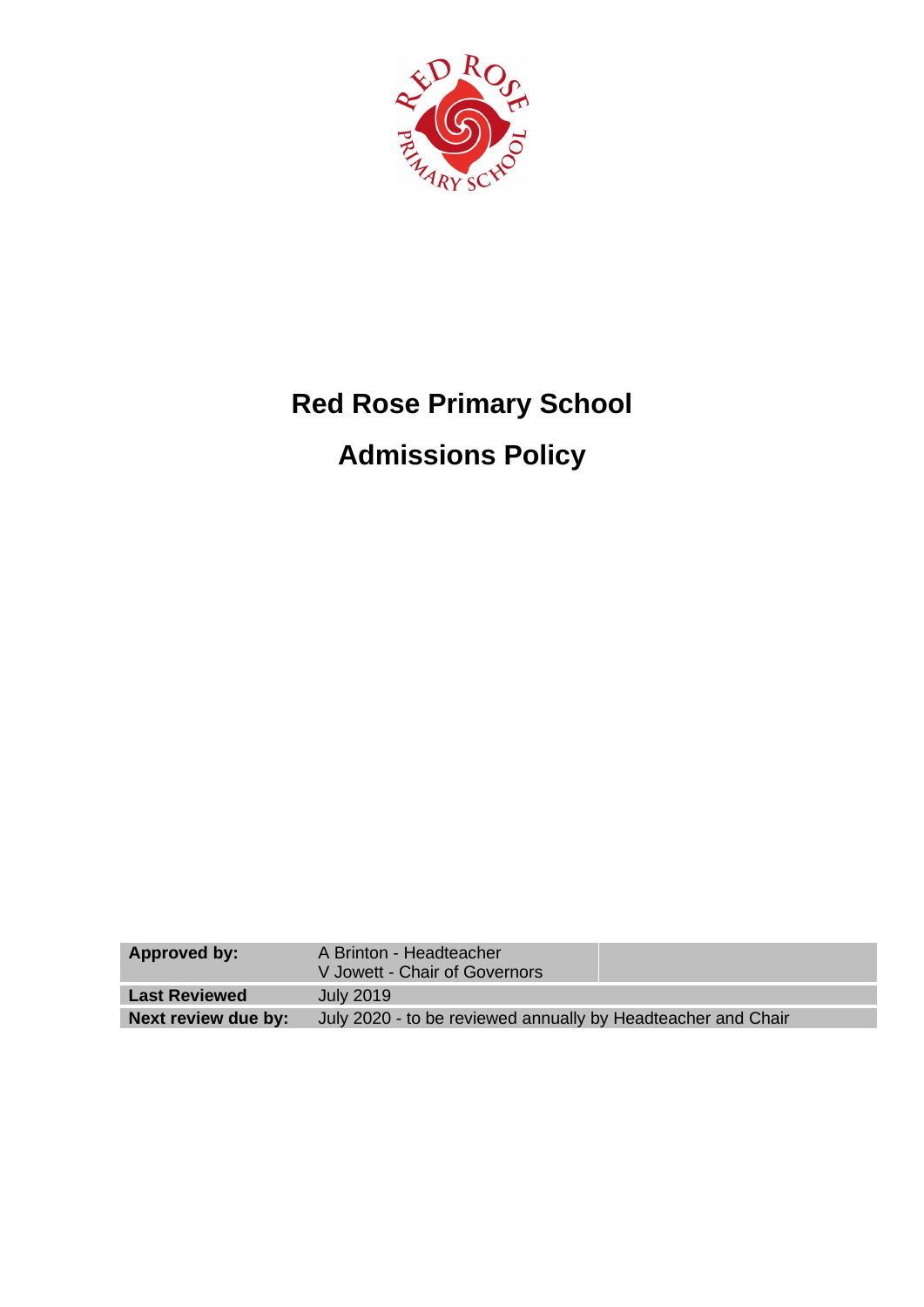

# **Red Rose Primary School**

## **Admissions Policy**

| Approved by:         | A Brinton - Headteacher<br>V Jowett - Chair of Governors     |
|----------------------|--------------------------------------------------------------|
| <b>Last Reviewed</b> | July 2019                                                    |
| Next review due by:  | July 2020 - to be reviewed annually by Headteacher and Chair |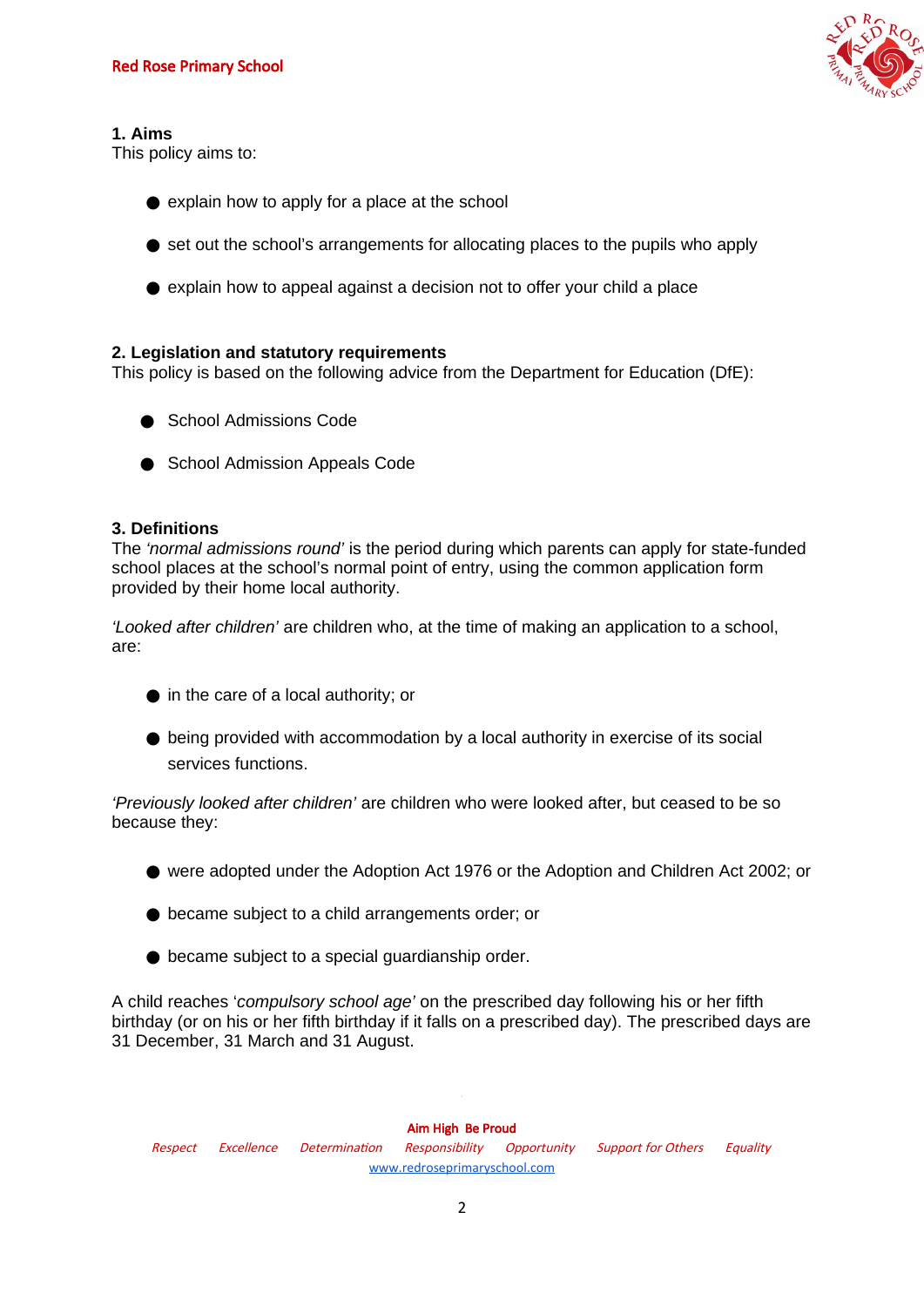

#### **1. Aims**

This policy aims to:

- $\bullet$  explain how to apply for a place at the school
- set out the school's arrangements for allocating places to the pupils who apply
- explain how to appeal against a decision not to offer your child a place

#### **2. Legislation and statutory requirements**

This policy is based on the following advice from the Department for Education (DfE):

- **[School Admissions Code](https://www.gov.uk/government/publications/school-admissions-code--2)**
- [School Admission Appeals Code](https://www.gov.uk/government/publications/school-admissions-appeals-code)

#### **3. Definitions**

The *'normal admissions round'* is the period during which parents can apply for state-funded school places at the school's normal point of entry, using the common application form provided by their home local authority.

*'Looked after children'* are children who, at the time of making an application to a school, are:

- in the care of a local authority; or
- being provided with accommodation by a local authority in exercise of its social services functions.

*'Previously looked after children'* are children who were looked after, but ceased to be so because they:

- were adopted under the Adoption Act 1976 or the Adoption and Children Act 2002; or
- became subject to a child arrangements order; or
- $\bullet$  became subject to a special guardianship order.

A child reaches '*compulsory school age'* on the prescribed day following his or her fifth birthday (or on his or her fifth birthday if it falls on a prescribed day). The prescribed days are 31 December, 31 March and 31 August.

Aim High Be Proud Respect Excellence Determination Responsibility Opportunity Support for Others Equality [www.redroseprimaryschool.com](http://www.redroseprimaryschool.com/)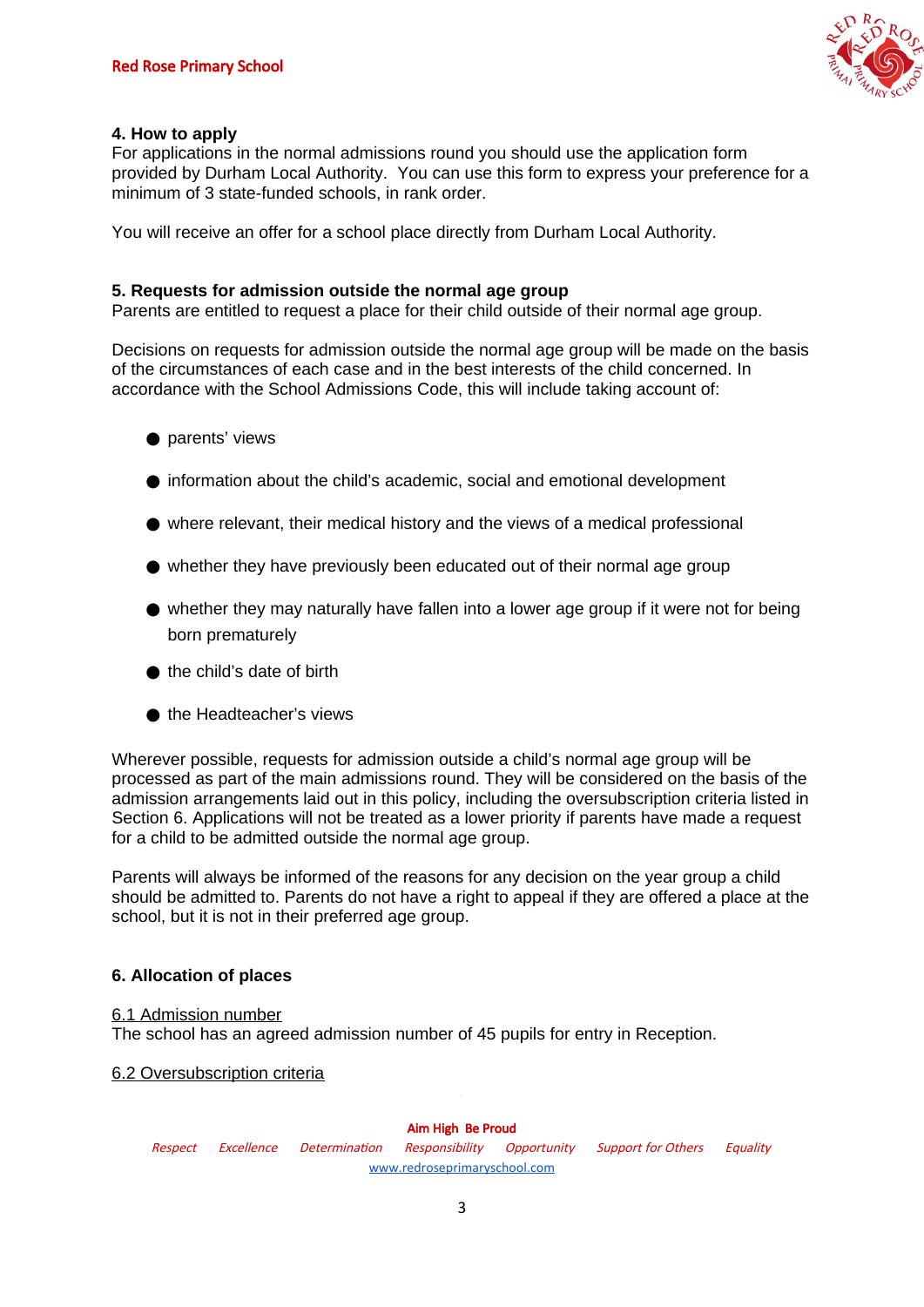

#### **4. How to apply**

For applications in the normal admissions round you should use the application form provided by Durham Local Authority. You can use this form to express your preference for a minimum of 3 state-funded schools, in rank order.

You will receive an offer for a school place directly from Durham Local Authority.

#### **5. Requests for admission outside the normal age group**

Parents are entitled to request a place for their child outside of their normal age group.

Decisions on requests for admission outside the normal age group will be made on the basis of the circumstances of each case and in the best interests of the child concerned. In accordance with the School Admissions Code, this will include taking account of:

- parents' views
- information about the child's academic, social and emotional development
- $\bullet$  where relevant, their medical history and the views of a medical professional
- whether they have previously been educated out of their normal age group
- $\bullet$  whether they may naturally have fallen into a lower age group if it were not for being born prematurely
- $\bullet$  the child's date of birth
- the Headteacher's views

Wherever possible, requests for admission outside a child's normal age group will be processed as part of the main admissions round. They will be considered on the basis of the admission arrangements laid out in this policy, including the oversubscription criteria listed in Section 6. Applications will not be treated as a lower priority if parents have made a request for a child to be admitted outside the normal age group.

Parents will always be informed of the reasons for any decision on the year group a child should be admitted to. Parents do not have a right to appeal if they are offered a place at the school, but it is not in their preferred age group.

### **6. Allocation of places**

#### 6.1 Admission number

The school has an agreed admission number of 45 pupils for entry in Reception.

#### 6.2 Oversubscription criteria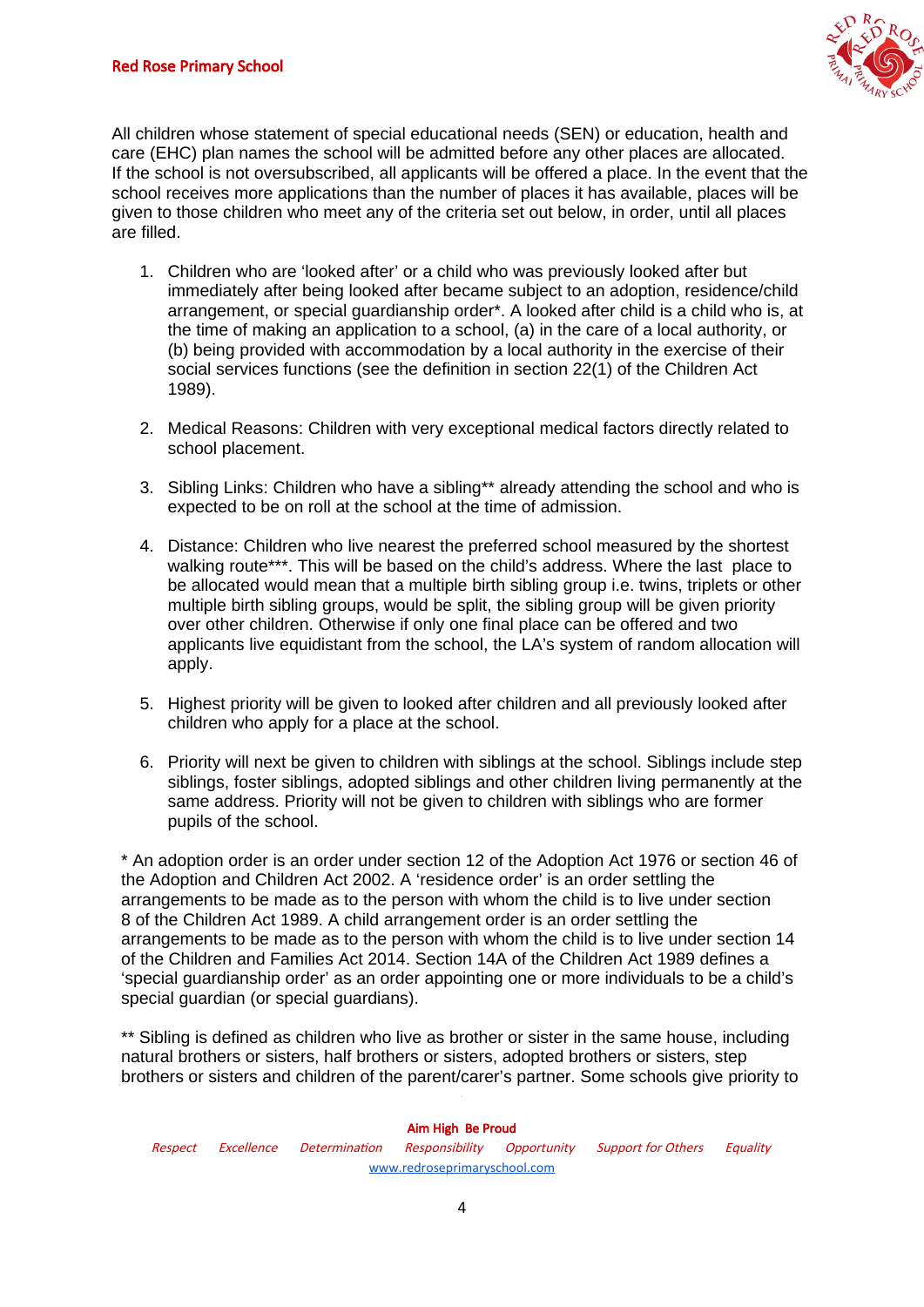

All children whose statement of special educational needs (SEN) or education, health and care (EHC) plan names the school will be admitted before any other places are allocated. If the school is not oversubscribed, all applicants will be offered a place. In the event that the school receives more applications than the number of places it has available, places will be given to those children who meet any of the criteria set out below, in order, until all places are filled.

- 1. Children who are 'looked after' or a child who was previously looked after but immediately after being looked after became subject to an adoption, residence/child arrangement, or special guardianship order\*. A looked after child is a child who is, at the time of making an application to a school, (a) in the care of a local authority, or (b) being provided with accommodation by a local authority in the exercise of their social services functions (see the definition in section 22(1) of the Children Act 1989).
- 2. Medical Reasons: Children with very exceptional medical factors directly related to school placement.
- 3. Sibling Links: Children who have a sibling\*\* already attending the school and who is expected to be on roll at the school at the time of admission.
- 4. Distance: Children who live nearest the preferred school measured by the shortest walking route\*\*\*. This will be based on the child's address. Where the last place to be allocated would mean that a multiple birth sibling group i.e. twins, triplets or other multiple birth sibling groups, would be split, the sibling group will be given priority over other children. Otherwise if only one final place can be offered and two applicants live equidistant from the school, the LA's system of random allocation will apply.
- 5. Highest priority will be given to looked after children and all previously looked after children who apply for a place at the school.
- 6. Priority will next be given to children with siblings at the school. Siblings include step siblings, foster siblings, adopted siblings and other children living permanently at the same address. Priority will not be given to children with siblings who are former pupils of the school.

\* An adoption order is an order under section 12 of the Adoption Act 1976 or section 46 of the Adoption and Children Act 2002. A 'residence order' is an order settling the arrangements to be made as to the person with whom the child is to live under section 8 of the Children Act 1989. A child arrangement order is an order settling the arrangements to be made as to the person with whom the child is to live under section 14 of the Children and Families Act 2014. Section 14A of the Children Act 1989 defines a 'special guardianship order' as an order appointing one or more individuals to be a child's special guardian (or special guardians).

\*\* Sibling is defined as children who live as brother or sister in the same house, including natural brothers or sisters, half brothers or sisters, adopted brothers or sisters, step brothers or sisters and children of the parent/carer's partner. Some schools give priority to